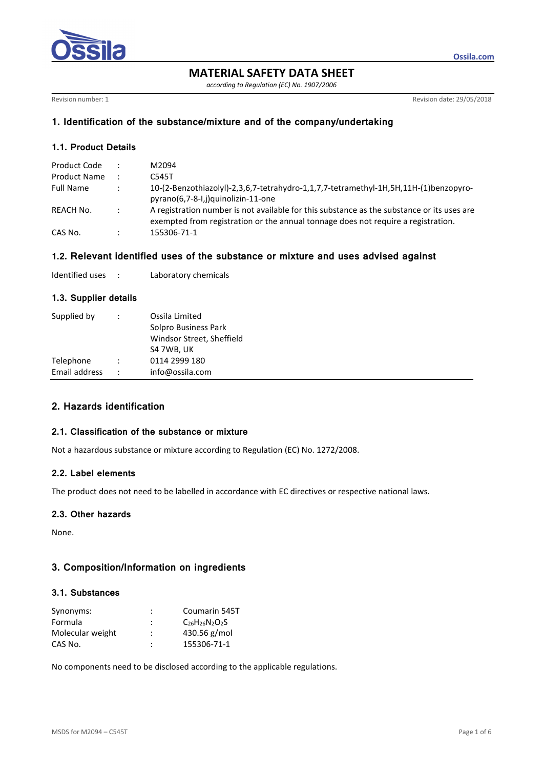

**MATERIAL SAFETY DATA SHEET** 

*according to Regulation (EC) No. 1907/2006* 

Revision number: 1 Revision date: 29/05/2018

**Ossila.com**

# **1. Identification of the substance/mixture and of the company/undertaking**

# **1.1. Product Details**

| Product Code        |                | M2094                                                                                      |
|---------------------|----------------|--------------------------------------------------------------------------------------------|
| <b>Product Name</b> | $\mathbb{R}^n$ | C545T                                                                                      |
| <b>Full Name</b>    |                | 10-(2-Benzothiazolyl)-2,3,6,7-tetrahydro-1,1,7,7-tetramethyl-1H,5H,11H-(1)benzopyro-       |
|                     |                | pyrano(6,7-8-I,j)quinolizin-11-one                                                         |
| REACH No.           | $\mathbb{R}^2$ | A registration number is not available for this substance as the substance or its uses are |
|                     |                | exempted from registration or the annual tonnage does not require a registration.          |
| CAS No.             |                | 155306-71-1                                                                                |

# **1.2. Relevant identified uses of the substance or mixture and uses advised against**

| Identified uses |  | Laboratory chemicals |
|-----------------|--|----------------------|
|-----------------|--|----------------------|

# **1.3. Supplier details**

| Supplied by   | Ossila Limited<br>Solpro Business Park<br>Windsor Street, Sheffield<br>S4 7WB, UK |
|---------------|-----------------------------------------------------------------------------------|
| Telephone     | 0114 2999 180                                                                     |
| Email address | info@ossila.com                                                                   |

# **2. Hazards identification**

## **2.1. Classification of the substance or mixture**

Not a hazardous substance or mixture according to Regulation (EC) No. 1272/2008.

### **2.2. Label elements**

The product does not need to be labelled in accordance with EC directives or respective national laws.

# **2.3. Other hazards**

None.

# **3. Composition/Information on ingredients**

#### **3.1. Substances**

| Synonyms:        | ٠<br>٠ | Coumarin 545T             |
|------------------|--------|---------------------------|
| Formula          | ٠<br>٠ | $C_{26}H_{26}N_{2}O_{2}S$ |
| Molecular weight | ٠      | 430.56 $g/mol$            |
| CAS No.          | ٠      | 155306-71-1               |

No components need to be disclosed according to the applicable regulations.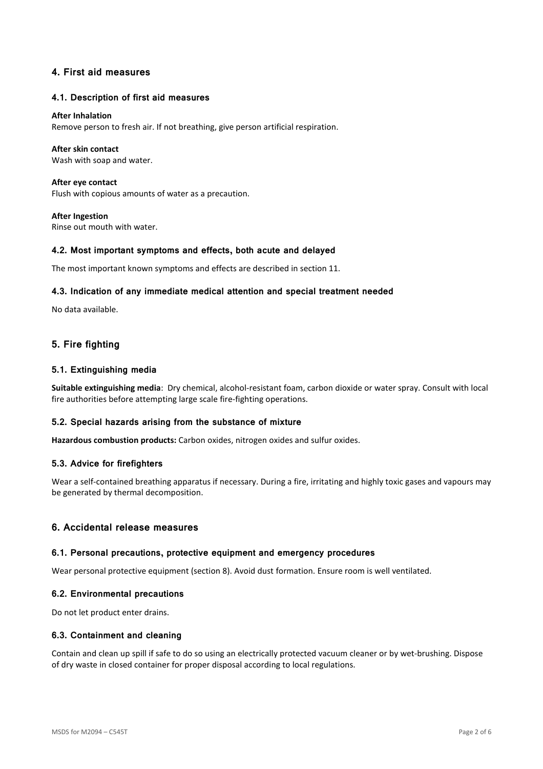# **4. First aid measures**

#### **4.1. Description of first aid measures**

#### **After Inhalation**

Remove person to fresh air. If not breathing, give person artificial respiration.

#### **After skin contact**

Wash with soap and water.

**After eye contact**  Flush with copious amounts of water as a precaution.

**After Ingestion**  Rinse out mouth with water.

#### **4.2. Most important symptoms and effects, both acute and delayed**

The most important known symptoms and effects are described in section 11.

#### **4.3. Indication of any immediate medical attention and special treatment needed**

No data available.

# **5. Fire fighting**

#### **5.1. Extinguishing media**

**Suitable extinguishing media**: Dry chemical, alcohol-resistant foam, carbon dioxide or water spray. Consult with local fire authorities before attempting large scale fire-fighting operations.

### **5.2. Special hazards arising from the substance of mixture**

**Hazardous combustion products:** Carbon oxides, nitrogen oxides and sulfur oxides.

#### **5.3. Advice for firefighters**

Wear a self-contained breathing apparatus if necessary. During a fire, irritating and highly toxic gases and vapours may be generated by thermal decomposition.

## **6. Accidental release measures**

#### **6.1. Personal precautions, protective equipment and emergency procedures**

Wear personal protective equipment (section 8). Avoid dust formation. Ensure room is well ventilated.

#### **6.2. Environmental precautions**

Do not let product enter drains.

#### **6.3. Containment and cleaning**

Contain and clean up spill if safe to do so using an electrically protected vacuum cleaner or by wet-brushing. Dispose of dry waste in closed container for proper disposal according to local regulations.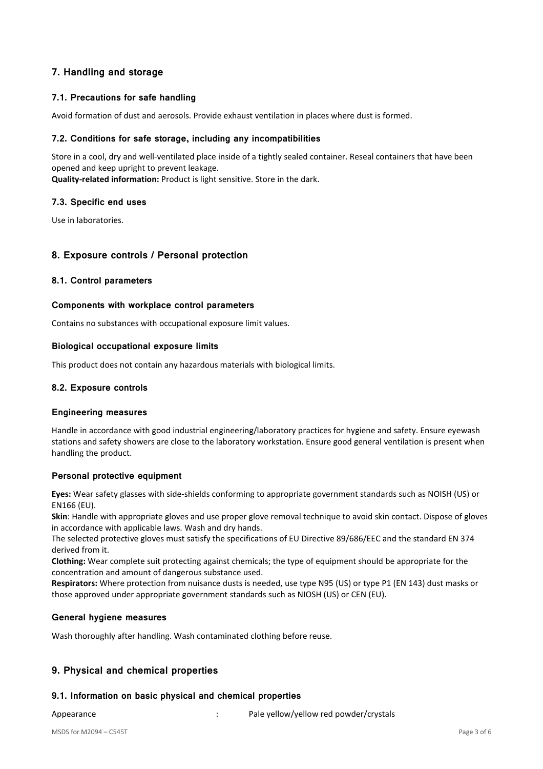# **7. Handling and storage**

# **7.1. Precautions for safe handling**

Avoid formation of dust and aerosols. Provide exhaust ventilation in places where dust is formed.

### **7.2. Conditions for safe storage, including any incompatibilities**

Store in a cool, dry and well-ventilated place inside of a tightly sealed container. Reseal containers that have been opened and keep upright to prevent leakage.

**Quality-related information:** Product is light sensitive. Store in the dark.

### **7.3. Specific end uses**

Use in laboratories.

### **8. Exposure controls / Personal protection**

### **8.1. Control parameters**

#### **Components with workplace control parameters**

Contains no substances with occupational exposure limit values.

#### **Biological occupational exposure limits**

This product does not contain any hazardous materials with biological limits.

#### **8.2. Exposure controls**

#### **Engineering measures**

Handle in accordance with good industrial engineering/laboratory practices for hygiene and safety. Ensure eyewash stations and safety showers are close to the laboratory workstation. Ensure good general ventilation is present when handling the product.

### **Personal protective equipment**

**Eyes:** Wear safety glasses with side-shields conforming to appropriate government standards such as NOISH (US) or EN166 (EU).

**Skin**: Handle with appropriate gloves and use proper glove removal technique to avoid skin contact. Dispose of gloves in accordance with applicable laws. Wash and dry hands.

The selected protective gloves must satisfy the specifications of EU Directive 89/686/EEC and the standard EN 374 derived from it.

**Clothing:** Wear complete suit protecting against chemicals; the type of equipment should be appropriate for the concentration and amount of dangerous substance used.

**Respirators:** Where protection from nuisance dusts is needed, use type N95 (US) or type P1 (EN 143) dust masks or those approved under appropriate government standards such as NIOSH (US) or CEN (EU).

### **General hygiene measures**

Wash thoroughly after handling. Wash contaminated clothing before reuse.

# **9. Physical and chemical properties**

### **9.1. Information on basic physical and chemical properties**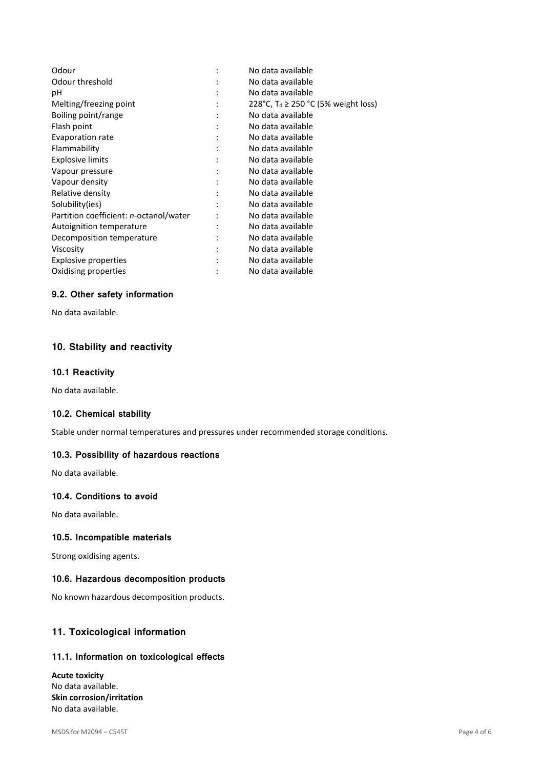| No data available                               |
|-------------------------------------------------|
| No data available                               |
| No data available                               |
| 228°C, T <sub>d</sub> ≥ 250 °C (5% weight loss) |
| No data available                               |
| No data available                               |
| No data available                               |
| No data available                               |
| No data available                               |
| No data available                               |
| No data available                               |
| No data available                               |
| No data available                               |
| No data available                               |
| No data available                               |
| No data available                               |
| No data available                               |
| No data available                               |
| No data available                               |
|                                                 |

# **9.2. Other safety information**

No data available.

# **10. Stability and reactivity**

#### **10.1 Reactivity**

No data available.

# **10.2. Chemical stability**

Stable under normal temperatures and pressures under recommended storage conditions.

#### **10.3. Possibility of hazardous reactions**

No data available.

# **10.4. Conditions to avoid**

No data available.

#### **10.5. Incompatible materials**

Strong oxidising agents.

#### **10.6. Hazardous decomposition products**

No known hazardous decomposition products.

# **11. Toxicological information**

#### **11.1. Information on toxicological effects**

**Acute toxicity**  No data available. **Skin corrosion/irritation**  No data available.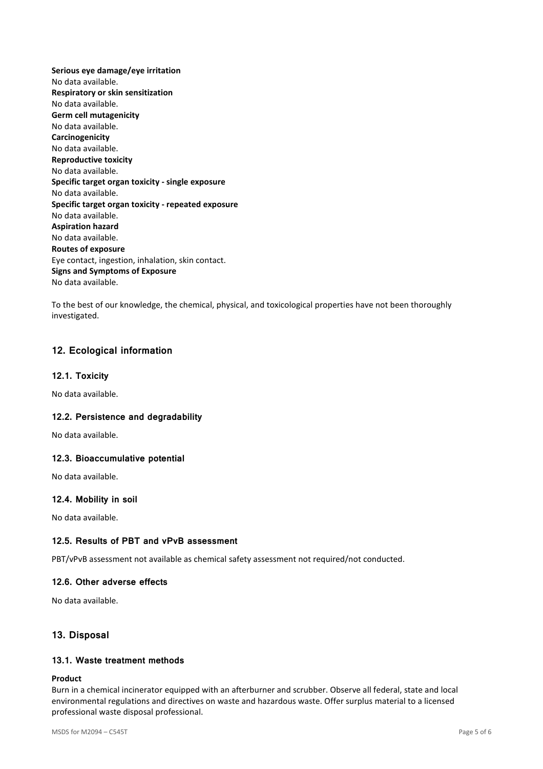**Serious eye damage/eye irritation**  No data available. **Respiratory or skin sensitization**  No data available. **Germ cell mutagenicity**  No data available. **Carcinogenicity**  No data available. **Reproductive toxicity**  No data available. **Specific target organ toxicity - single exposure**  No data available. **Specific target organ toxicity - repeated exposure**  No data available. **Aspiration hazard**  No data available. **Routes of exposure**  Eye contact, ingestion, inhalation, skin contact. **Signs and Symptoms of Exposure**  No data available.

To the best of our knowledge, the chemical, physical, and toxicological properties have not been thoroughly investigated.

# **12. Ecological information**

## **12.1. Toxicity**

No data available.

### **12.2. Persistence and degradability**

No data available.

### **12.3. Bioaccumulative potential**

No data available.

### **12.4. Mobility in soil**

No data available.

### **12.5. Results of PBT and vPvB assessment**

PBT/vPvB assessment not available as chemical safety assessment not required/not conducted.

### **12.6. Other adverse effects**

No data available.

# **13. Disposal**

# **13.1. Waste treatment methods**

#### **Product**

Burn in a chemical incinerator equipped with an afterburner and scrubber. Observe all federal, state and local environmental regulations and directives on waste and hazardous waste. Offer surplus material to a licensed professional waste disposal professional.